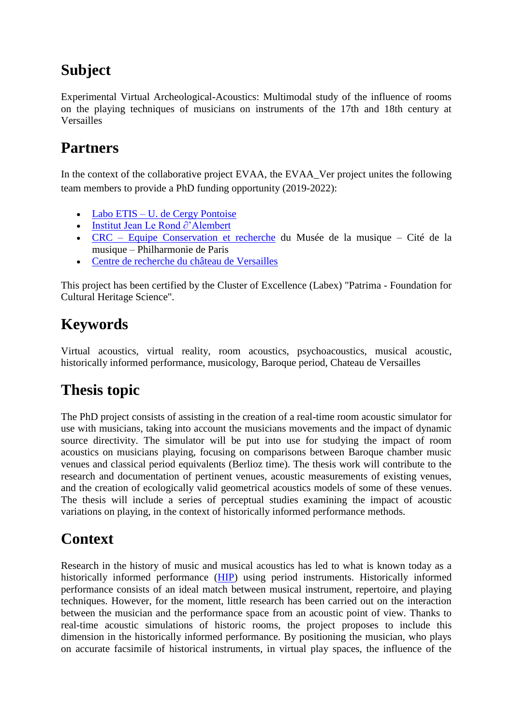## **Subject**

Experimental Virtual Archeological-Acoustics: Multimodal study of the influence of rooms on the playing techniques of musicians on instruments of the 17th and 18th century at Versailles

#### **Partners**

In the context of the collaborative project EVAA, the EVAA\_Ver project unites the following team members to provide a PhD funding opportunity (2019-2022):

- Labo ETIS [U. de Cergy Pontoise](https://www.u-cergy.fr/fr/recherche-et-valorisation/laboratoires/etis.html)
- [Institut Jean Le Rond ∂'Alembert](http://www.dim-map.fr/reseau/institut-jean-le-rond-%e2%88%82alembert)
- CRC [Equipe Conservation et recherche](http://www.dim-map.fr/reseau/crc-equipe-conservation-recherche-musee-de-la-musique) du Musée de la musique Cité de la musique – Philharmonie de Paris
- [Centre de recherche du château de Versailles](http://www.chateauversailles-recherche.fr/)

This project has been certified by the Cluster of Excellence (Labex) "Patrima - Foundation for Cultural Heritage Science".

## **Keywords**

Virtual acoustics, virtual reality, room acoustics, psychoacoustics, musical acoustic, historically informed performance, musicology, Baroque period, Chateau de Versailles

## **Thesis topic**

The PhD project consists of assisting in the creation of a real-time room acoustic simulator for use with musicians, taking into account the musicians movements and the impact of dynamic source directivity. The simulator will be put into use for studying the impact of room acoustics on musicians playing, focusing on comparisons between Baroque chamber music venues and classical period equivalents (Berlioz time). The thesis work will contribute to the research and documentation of pertinent venues, acoustic measurements of existing venues, and the creation of ecologically valid geometrical acoustics models of some of these venues. The thesis will include a series of perceptual studies examining the impact of acoustic variations on playing, in the context of historically informed performance methods.

#### **Context**

Research in the history of music and musical acoustics has led to what is known today as a historically informed performance [\(HIP\)](https://en.wikipedia.org/wiki/Historically_informed_performance) using period instruments. Historically informed performance consists of an ideal match between musical instrument, repertoire, and playing techniques. However, for the moment, little research has been carried out on the interaction between the musician and the performance space from an acoustic point of view. Thanks to real-time acoustic simulations of historic rooms, the project proposes to include this dimension in the historically informed performance. By positioning the musician, who plays on accurate facsimile of historical instruments, in virtual play spaces, the influence of the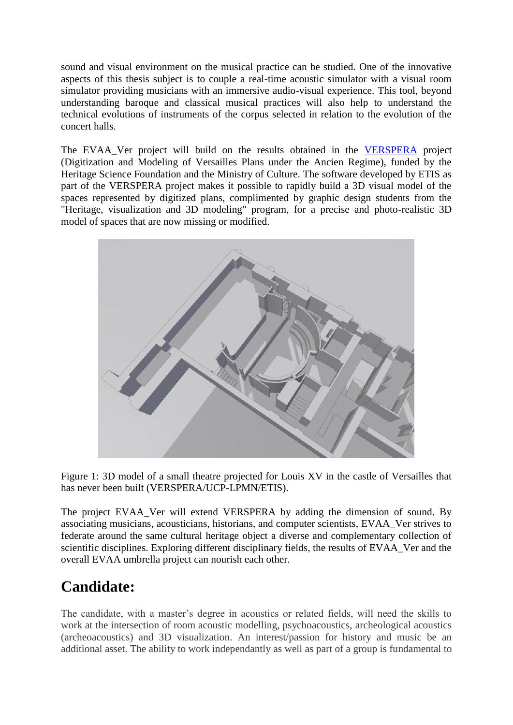sound and visual environment on the musical practice can be studied. One of the innovative aspects of this thesis subject is to couple a real-time acoustic simulator with a visual room simulator providing musicians with an immersive audio-visual experience. This tool, beyond understanding baroque and classical musical practices will also help to understand the technical evolutions of instruments of the corpus selected in relation to the evolution of the concert halls.

The EVAA\_Ver project will build on the results obtained in the [VERSPERA](https://verspera.hypotheses.org/) project (Digitization and Modeling of Versailles Plans under the Ancien Regime), funded by the Heritage Science Foundation and the Ministry of Culture. The software developed by ETIS as part of the VERSPERA project makes it possible to rapidly build a 3D visual model of the spaces represented by digitized plans, complimented by graphic design students from the "Heritage, visualization and 3D modeling" program, for a precise and photo-realistic 3D model of spaces that are now missing or modified.



Figure 1: 3D model of a small theatre projected for Louis XV in the castle of Versailles that has never been built (VERSPERA/UCP-LPMN/ETIS).

The project EVAA\_Ver will extend VERSPERA by adding the dimension of sound. By associating musicians, acousticians, historians, and computer scientists, EVAA\_Ver strives to federate around the same cultural heritage object a diverse and complementary collection of scientific disciplines. Exploring different disciplinary fields, the results of EVAA\_Ver and the overall EVAA umbrella project can nourish each other.

#### **Candidate:**

The candidate, with a master's degree in acoustics or related fields, will need the skills to work at the intersection of room acoustic modelling, psychoacoustics, archeological acoustics (archeoacoustics) and 3D visualization. An interest/passion for history and music be an additional asset. The ability to work independantly as well as part of a group is fundamental to